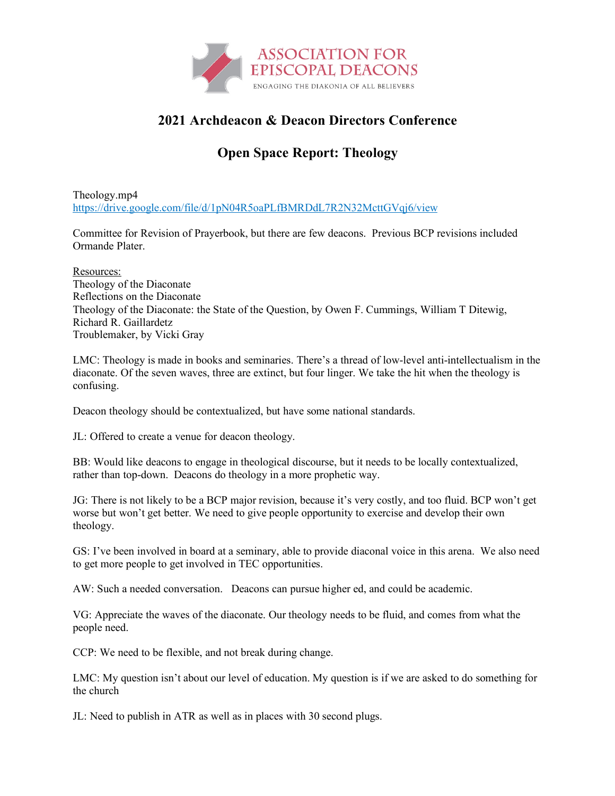

## **2021 Archdeacon & Deacon Directors Conference**

## **Open Space Report: Theology**

Theology.mp4 https://drive.google.com/file/d/1pN04R5oaPLfBMRDdL7R2N32McttGVqj6/view

Committee for Revision of Prayerbook, but there are few deacons. Previous BCP revisions included Ormande Plater.

Resources: Theology of the Diaconate Reflections on the Diaconate Theology of the Diaconate: the State of the Question, by Owen F. Cummings, William T Ditewig, Richard R. Gaillardetz Troublemaker, by Vicki Gray

LMC: Theology is made in books and seminaries. There's a thread of low-level anti-intellectualism in the diaconate. Of the seven waves, three are extinct, but four linger. We take the hit when the theology is confusing.

Deacon theology should be contextualized, but have some national standards.

JL: Offered to create a venue for deacon theology.

BB: Would like deacons to engage in theological discourse, but it needs to be locally contextualized, rather than top-down. Deacons do theology in a more prophetic way.

JG: There is not likely to be a BCP major revision, because it's very costly, and too fluid. BCP won't get worse but won't get better. We need to give people opportunity to exercise and develop their own theology.

GS: I've been involved in board at a seminary, able to provide diaconal voice in this arena. We also need to get more people to get involved in TEC opportunities.

AW: Such a needed conversation. Deacons can pursue higher ed, and could be academic.

VG: Appreciate the waves of the diaconate. Our theology needs to be fluid, and comes from what the people need.

CCP: We need to be flexible, and not break during change.

LMC: My question isn't about our level of education. My question is if we are asked to do something for the church

JL: Need to publish in ATR as well as in places with 30 second plugs.